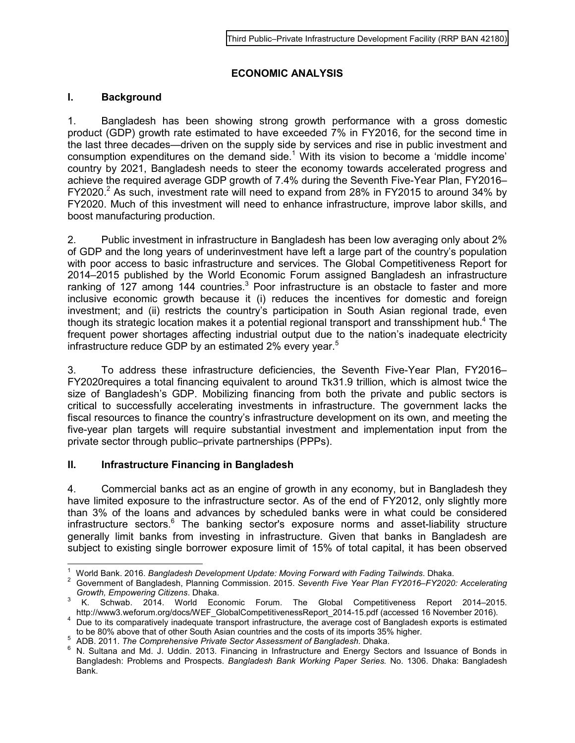## **ECONOMIC ANALYSIS**

## **I. Background**

1. Bangladesh has been showing strong growth performance with a gross domestic product (GDP) growth rate estimated to have exceeded 7% in FY2016, for the second time in the last three decades—driven on the supply side by services and rise in public investment and consumption expenditures on the demand side.<sup>1</sup> With its vision to become a 'middle income' country by 2021, Bangladesh needs to steer the economy towards accelerated progress and achieve the required average GDP growth of 7.4% during the Seventh Five-Year Plan, FY2016– FY2020.<sup>2</sup> As such, investment rate will need to expand from 28% in FY2015 to around 34% by FY2020. Much of this investment will need to enhance infrastructure, improve labor skills, and boost manufacturing production.

2. Public investment in infrastructure in Bangladesh has been low averaging only about 2% of GDP and the long years of underinvestment have left a large part of the country's population with poor access to basic infrastructure and services. The Global Competitiveness Report for 2014–2015 published by the World Economic Forum assigned Bangladesh an infrastructure ranking of 127 among 144 countries.<sup>3</sup> Poor infrastructure is an obstacle to faster and more inclusive economic growth because it (i) reduces the incentives for domestic and foreign investment; and (ii) restricts the country's participation in South Asian regional trade, even though its strategic location makes it a potential regional transport and transshipment hub.<sup>4</sup> The frequent power shortages affecting industrial output due to the nation's inadequate electricity infrastructure reduce GDP by an estimated 2% every year.<sup>5</sup>

3. To address these infrastructure deficiencies, the Seventh Five-Year Plan, FY2016– FY2020requires a total financing equivalent to around Tk31.9 trillion, which is almost twice the size of Bangladesh's GDP. Mobilizing financing from both the private and public sectors is critical to successfully accelerating investments in infrastructure. The government lacks the fiscal resources to finance the country's infrastructure development on its own, and meeting the five-year plan targets will require substantial investment and implementation input from the private sector through public–private partnerships (PPPs).

## **II. Infrastructure Financing in Bangladesh**

4. Commercial banks act as an engine of growth in any economy, but in Bangladesh they have limited exposure to the infrastructure sector. As of the end of FY2012, only slightly more than 3% of the loans and advances by scheduled banks were in what could be considered infrastructure sectors.<sup>6</sup> The banking sector's exposure norms and asset-liability structure generally limit banks from investing in infrastructure. Given that banks in Bangladesh are subject to existing single borrower exposure limit of 15% of total capital, it has been observed

 $\frac{1}{1}$ World Bank. 2016. *Bangladesh Development Update: Moving Forward with Fading Tailwinds*. Dhaka.

<sup>2</sup> Government of Bangladesh, Planning Commission. 2015. *Seventh Five Year Plan FY2016‒FY2020: Accelerating Growth, Empowering Citizens*. Dhaka. 3

K. Schwab. 2014. World Economic Forum. The Global Competitiveness Report 2014–2015. http://www3.weforum.org/docs/WEF\_GlobalCompetitivenessReport\_2014-15.pdf (accessed 16 November 2016).

<sup>&</sup>lt;sup>4</sup> Due to its comparatively inadequate transport infrastructure, the average cost of Bangladesh exports is estimated to be 80% above that of other South Asian countries and the costs of its imports 35% higher.

<sup>5</sup> ADB. 2011. *The Comprehensive Private Sector Assessment of Bangladesh*. Dhaka.

<sup>&</sup>lt;sup>6</sup> N. Sultana and Md. J. Uddin. 2013. Financing in Infrastructure and Energy Sectors and Issuance of Bonds in Bangladesh: Problems and Prospects. *Bangladesh Bank Working Paper Series.* No. 1306. Dhaka: Bangladesh Bank.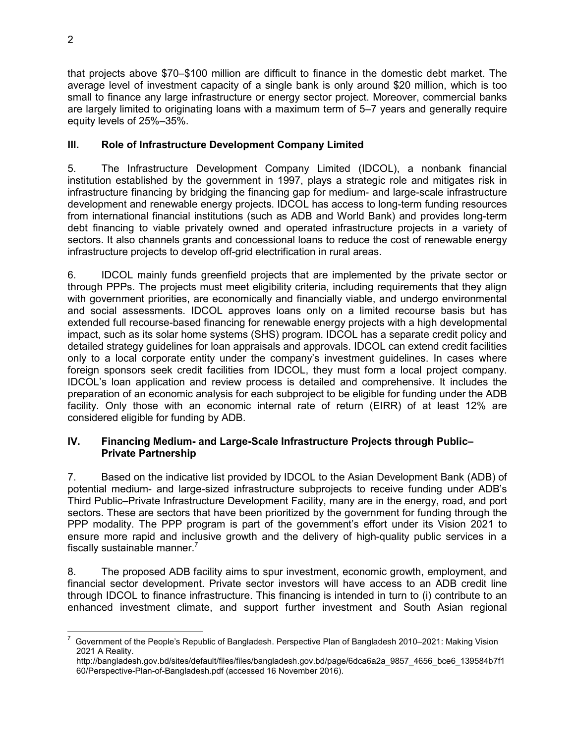that projects above \$70–\$100 million are difficult to finance in the domestic debt market. The average level of investment capacity of a single bank is only around \$20 million, which is too small to finance any large infrastructure or energy sector project. Moreover, commercial banks are largely limited to originating loans with a maximum term of 5–7 years and generally require equity levels of 25%–35%.

## **III. Role of Infrastructure Development Company Limited**

5. The Infrastructure Development Company Limited (IDCOL), a nonbank financial institution established by the government in 1997, plays a strategic role and mitigates risk in infrastructure financing by bridging the financing gap for medium- and large-scale infrastructure development and renewable energy projects. IDCOL has access to long-term funding resources from international financial institutions (such as ADB and World Bank) and provides long-term debt financing to viable privately owned and operated infrastructure projects in a variety of sectors. It also channels grants and concessional loans to reduce the cost of renewable energy infrastructure projects to develop off-grid electrification in rural areas.

6. IDCOL mainly funds greenfield projects that are implemented by the private sector or through PPPs. The projects must meet eligibility criteria, including requirements that they align with government priorities, are economically and financially viable, and undergo environmental and social assessments. IDCOL approves loans only on a limited recourse basis but has extended full recourse-based financing for renewable energy projects with a high developmental impact, such as its solar home systems (SHS) program. IDCOL has a separate credit policy and detailed strategy guidelines for loan appraisals and approvals. IDCOL can extend credit facilities only to a local corporate entity under the company's investment guidelines. In cases where foreign sponsors seek credit facilities from IDCOL, they must form a local project company. IDCOL's loan application and review process is detailed and comprehensive. It includes the preparation of an economic analysis for each subproject to be eligible for funding under the ADB facility. Only those with an economic internal rate of return (EIRR) of at least 12% are considered eligible for funding by ADB.

#### **IV. Financing Medium- and Large-Scale Infrastructure Projects through Public‒ Private Partnership**

7. Based on the indicative list provided by IDCOL to the Asian Development Bank (ADB) of potential medium- and large-sized infrastructure subprojects to receive funding under ADB's Third Public–Private Infrastructure Development Facility, many are in the energy, road, and port sectors. These are sectors that have been prioritized by the government for funding through the PPP modality. The PPP program is part of the government's effort under its Vision 2021 to ensure more rapid and inclusive growth and the delivery of high-quality public services in a fiscally sustainable manner. $7$ 

8. The proposed ADB facility aims to spur investment, economic growth, employment, and financial sector development. Private sector investors will have access to an ADB credit line through IDCOL to finance infrastructure. This financing is intended in turn to (i) contribute to an enhanced investment climate, and support further investment and South Asian regional

 $\overline{a}$ 7 Government of the People's Republic of Bangladesh. Perspective Plan of Bangladesh 2010–2021: Making Vision 2021 A Reality.

http://bangladesh.gov.bd/sites/default/files/files/bangladesh.gov.bd/page/6dca6a2a\_9857\_4656\_bce6\_139584b7f1 60/Perspective-Plan-of-Bangladesh.pdf (accessed 16 November 2016).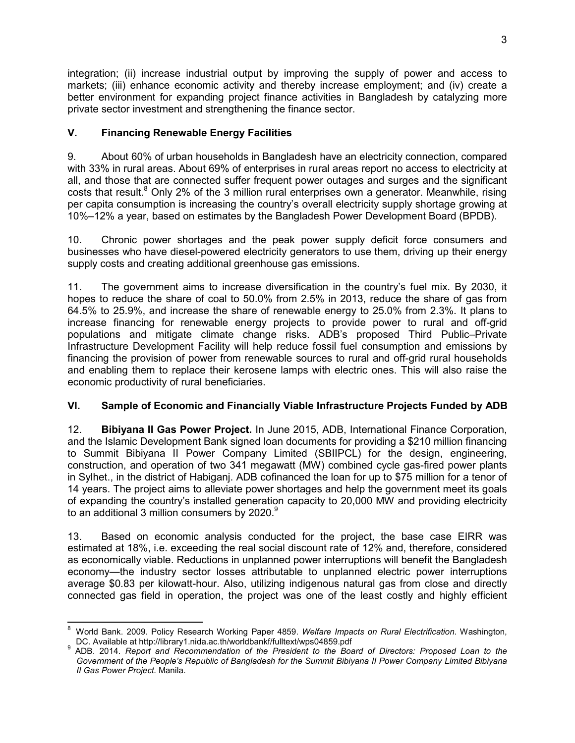integration; (ii) increase industrial output by improving the supply of power and access to markets; (iii) enhance economic activity and thereby increase employment; and (iv) create a better environment for expanding project finance activities in Bangladesh by catalyzing more private sector investment and strengthening the finance sector.

## **V. Financing Renewable Energy Facilities**

9. About 60% of urban households in Bangladesh have an electricity connection, compared with 33% in rural areas. About 69% of enterprises in rural areas report no access to electricity at all, and those that are connected suffer frequent power outages and surges and the significant costs that result.<sup>8</sup> Only 2% of the 3 million rural enterprises own a generator. Meanwhile, rising per capita consumption is increasing the country's overall electricity supply shortage growing at 10%–12% a year, based on estimates by the Bangladesh Power Development Board (BPDB).

10. Chronic power shortages and the peak power supply deficit force consumers and businesses who have diesel-powered electricity generators to use them, driving up their energy supply costs and creating additional greenhouse gas emissions.

11. The government aims to increase diversification in the country's fuel mix. By 2030, it hopes to reduce the share of coal to 50.0% from 2.5% in 2013, reduce the share of gas from 64.5% to 25.9%, and increase the share of renewable energy to 25.0% from 2.3%. It plans to increase financing for renewable energy projects to provide power to rural and off-grid populations and mitigate climate change risks. ADB's proposed Third Public–Private Infrastructure Development Facility will help reduce fossil fuel consumption and emissions by financing the provision of power from renewable sources to rural and off-grid rural households and enabling them to replace their kerosene lamps with electric ones. This will also raise the economic productivity of rural beneficiaries.

# **VI. Sample of Economic and Financially Viable Infrastructure Projects Funded by ADB**

12. **Bibiyana II Gas Power Project.** In June 2015, ADB, International Finance Corporation, and the Islamic Development Bank signed loan documents for providing a \$210 million financing to Summit Bibiyana II Power Company Limited (SBIIPCL) for the design, engineering, construction, and operation of two 341 megawatt (MW) combined cycle gas-fired power plants in Sylhet., in the district of Habiganj. ADB cofinanced the loan for up to \$75 million for a tenor of 14 years. The project aims to alleviate power shortages and help the government meet its goals of expanding the country's installed generation capacity to 20,000 MW and providing electricity to an additional 3 million consumers by  $2020.<sup>9</sup>$ 

13. Based on economic analysis conducted for the project, the base case EIRR was estimated at 18%, i.e. exceeding the real social discount rate of 12% and, therefore, considered as economically viable. Reductions in unplanned power interruptions will benefit the Bangladesh economy—the industry sector losses attributable to unplanned electric power interruptions average \$0.83 per kilowatt-hour. Also, utilizing indigenous natural gas from close and directly connected gas field in operation, the project was one of the least costly and highly efficient

 $\overline{a}$ 8 World Bank. 2009. Policy Research Working Paper 4859. *Welfare Impacts on Rural Electrification*. Washington, DC. Available at http://library1.nida.ac.th/worldbankf/fulltext/wps04859.pdf

<sup>9</sup> ADB. 2014. *Report and Recommendation of the President to the Board of Directors: Proposed Loan to the Government of the People's Republic of Bangladesh for the Summit Bibiyana II Power Company Limited Bibiyana II Gas Power Project.* Manila.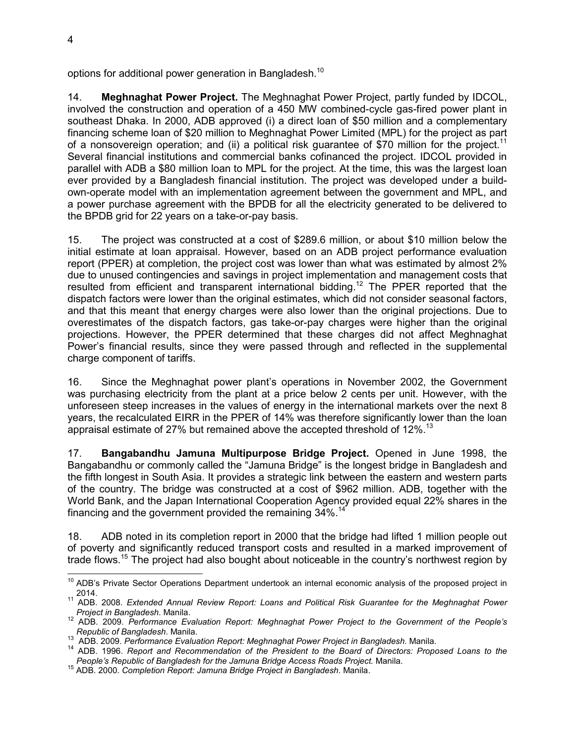options for additional power generation in Bangladesh.<sup>10</sup>

14. **Meghnaghat Power Project.** The Meghnaghat Power Project, partly funded by IDCOL, involved the construction and operation of a 450 MW combined-cycle gas-fired power plant in southeast Dhaka. In 2000, ADB approved (i) a direct loan of \$50 million and a complementary financing scheme loan of \$20 million to Meghnaghat Power Limited (MPL) for the project as part of a nonsovereign operation; and (ii) a political risk guarantee of \$70 million for the project.<sup>11</sup> Several financial institutions and commercial banks cofinanced the project. IDCOL provided in parallel with ADB a \$80 million loan to MPL for the project. At the time, this was the largest loan ever provided by a Bangladesh financial institution. The project was developed under a buildown-operate model with an implementation agreement between the government and MPL, and a power purchase agreement with the BPDB for all the electricity generated to be delivered to the BPDB grid for 22 years on a take-or-pay basis.

15. The project was constructed at a cost of \$289.6 million, or about \$10 million below the initial estimate at loan appraisal. However, based on an ADB project performance evaluation report (PPER) at completion, the project cost was lower than what was estimated by almost 2% due to unused contingencies and savings in project implementation and management costs that resulted from efficient and transparent international bidding.<sup>12</sup> The PPER reported that the dispatch factors were lower than the original estimates, which did not consider seasonal factors, and that this meant that energy charges were also lower than the original projections. Due to overestimates of the dispatch factors, gas take-or-pay charges were higher than the original projections. However, the PPER determined that these charges did not affect Meghnaghat Power's financial results, since they were passed through and reflected in the supplemental charge component of tariffs.

16. Since the Meghnaghat power plant's operations in November 2002, the Government was purchasing electricity from the plant at a price below 2 cents per unit. However, with the unforeseen steep increases in the values of energy in the international markets over the next 8 years, the recalculated EIRR in the PPER of 14% was therefore significantly lower than the loan appraisal estimate of 27% but remained above the accepted threshold of  $12\%$ .<sup>13</sup>

17. **Bangabandhu Jamuna Multipurpose Bridge Project.** Opened in June 1998, the Bangabandhu or commonly called the "Jamuna Bridge" is the longest bridge in Bangladesh and the fifth longest in South Asia. It provides a strategic link between the eastern and western parts of the country. The bridge was constructed at a cost of \$962 million. ADB, together with the World Bank, and the Japan International Cooperation Agency provided equal 22% shares in the financing and the government provided the remaining 34%.<sup>14</sup>

18. ADB noted in its completion report in 2000 that the bridge had lifted 1 million people out of poverty and significantly reduced transport costs and resulted in a marked improvement of trade flows.<sup>15</sup> The project had also bought about noticeable in the country's northwest region by

j <sup>10</sup> ADB's Private Sector Operations Department undertook an internal economic analysis of the proposed project in 2014.

<sup>11</sup> ADB. 2008. *Extended Annual Review Report: Loans and Political Risk Guarantee for the Meghnaghat Power Project in Bangladesh*. Manila.

<sup>12</sup> ADB. 2009. *Performance Evaluation Report: Meghnaghat Power Project to the Government of the People's Republic of Bangladesh*. Manila.

<sup>13</sup> ADB. 2009. *Performance Evaluation Report: Meghnaghat Power Project in Bangladesh.* Manila.

<sup>14</sup> ADB. 1996. *Report and Recommendation of the President to the Board of Directors: Proposed Loans to the People's Republic of Bangladesh for the Jamuna Bridge Access Roads Project.* Manila.

<sup>15</sup> ADB. 2000. *Completion Report: Jamuna Bridge Project in Bangladesh*. Manila.